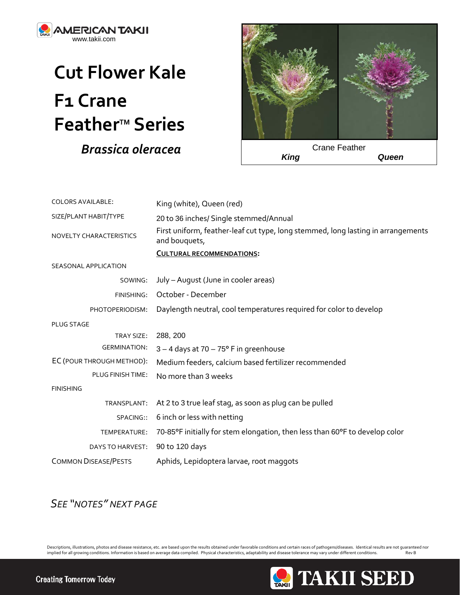

## **Cut Flower Kale F1 Crane FeatherTM Series**  *Brassica oleracea*



| <b>COLORS AVAILABLE:</b>    | King (white), Queen (red)                                                                         |
|-----------------------------|---------------------------------------------------------------------------------------------------|
| SIZE/PLANT HABIT/TYPE       | 20 to 36 inches/ Single stemmed/Annual                                                            |
| NOVELTY CHARACTERISTICS     | First uniform, feather-leaf cut type, long stemmed, long lasting in arrangements<br>and bouquets, |
|                             | <b>CULTURAL RECOMMENDATIONS:</b>                                                                  |
| SEASONAL APPLICATION        |                                                                                                   |
| SOWING:                     | July - August (June in cooler areas)                                                              |
| FINISHING:                  | October - December                                                                                |
| PHOTOPERIODISM:             | Daylength neutral, cool temperatures required for color to develop                                |
| <b>PLUG STAGE</b>           |                                                                                                   |
| TRAY SIZE:                  | 288, 200                                                                                          |
| <b>GERMINATION:</b>         | $3 - 4$ days at 70 - 75 $\degree$ F in greenhouse                                                 |
| EC (POUR THROUGH METHOD):   | Medium feeders, calcium based fertilizer recommended                                              |
| <b>PLUG FINISH TIME:</b>    | No more than 3 weeks                                                                              |
| <b>FINISHING</b>            |                                                                                                   |
| TRANSPLANT:                 | At 2 to 3 true leaf stag, as soon as plug can be pulled                                           |
| SPACING::                   | 6 inch or less with netting                                                                       |
| TEMPERATURE:                | 70-85°F initially for stem elongation, then less than 60°F to develop color                       |
| DAYS TO HARVEST:            | 90 to 120 days                                                                                    |
| <b>COMMON DISEASE/PESTS</b> | Aphids, Lepidoptera larvae, root maggots                                                          |

## *SEE "NOTES" NEXT PAGE*

Descriptions, illustrations, photos and disease resistance, etc. are based upon the results obtained under favorable conditions and certain races of pathogens/diseases. Identical results are not guaranteed nor implied for implied for all growing conditions. Information is based on average data compiled. Physical characteristics, adaptability and disease tolerance may vary under different conditions.